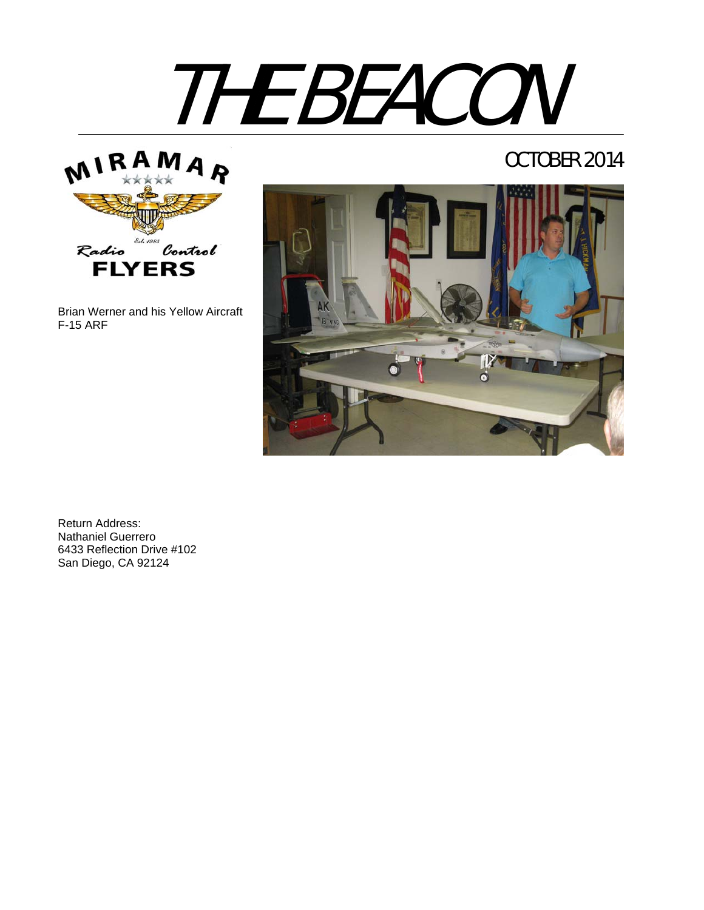# THE BEACON



Brian Werner and his Yellow Aircraft F-15 ARF

# OCTOBER 2014



Return Address: Nathaniel Guerrero 6433 Reflection Drive #102 San Diego, CA 92124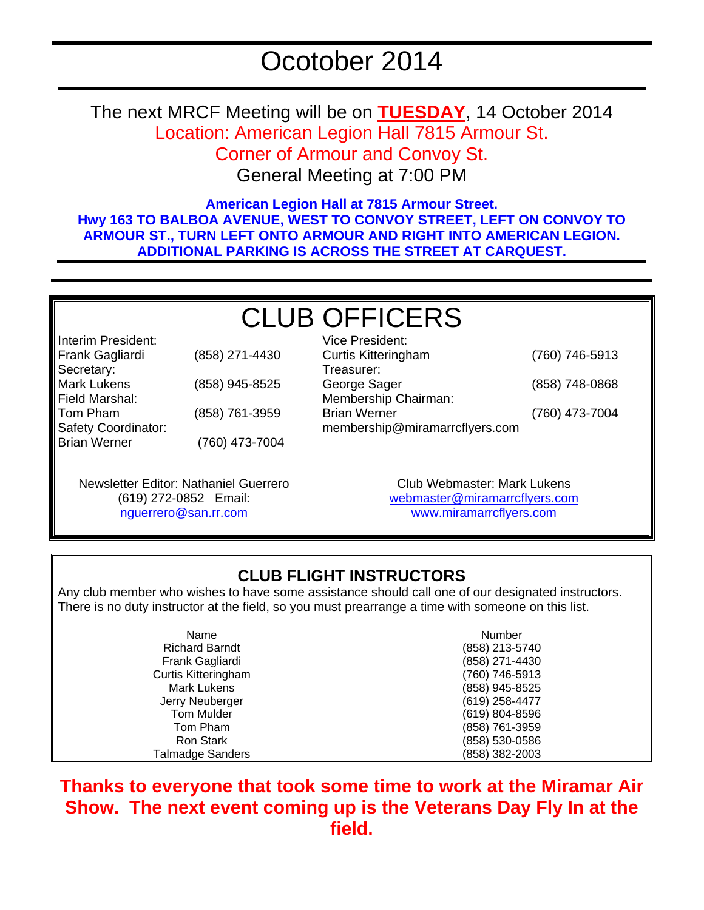The next MRCF Meeting will be on **TUESDAY**, 14 October 2014 Location: American Legion Hall 7815 Armour St. Corner of Armour and Convoy St.

General Meeting at 7:00 PM

**American Legion Hall at 7815 Armour Street. Hwy 163 TO BALBOA AVENUE, WEST TO CONVOY STREET, LEFT ON CONVOY TO ARMOUR ST., TURN LEFT ONTO ARMOUR AND RIGHT INTO AMERICAN LEGION. ADDITIONAL PARKING IS ACROSS THE STREET AT CARQUEST.** 

# CLUB OFFICERS Vice President:

Interim President: Frank Gagliardi (858) 271-4430 Secretary: Mark Lukens (858) 945-8525 Field Marshal: Tom Pham (858) 761-3959 Safety Coordinator: Brian Werner (760) 473-7004

Curtis Kitteringham (760) 746-5913 Treasurer: George Sager (858) 748-0868 Membership Chairman: Brian Werner (760) 473-7004 membership@miramarrcflyers.com

Newsletter Editor: Nathaniel Guerrero (619) 272-0852 Email: nguerrero@san.rr.com

Club Webmaster: Mark Lukens webmaster@miramarrcflyers.com www.miramarrcflyers.com

## **CLUB FLIGHT INSTRUCTORS**

Any club member who wishes to have some assistance should call one of our designated instructors. There is no duty instructor at the field, so you must prearrange a time with someone on this list.

| Name                       | Number         |
|----------------------------|----------------|
| <b>Richard Barndt</b>      | (858) 213-5740 |
| Frank Gagliardi            | (858) 271-4430 |
| <b>Curtis Kitteringham</b> | (760) 746-5913 |
| <b>Mark Lukens</b>         | (858) 945-8525 |
| Jerry Neuberger            | (619) 258-4477 |
| <b>Tom Mulder</b>          | (619) 804-8596 |
| Tom Pham                   | (858) 761-3959 |
| Ron Stark                  | (858) 530-0586 |
| <b>Talmadge Sanders</b>    | (858) 382-2003 |

**Thanks to everyone that took some time to work at the Miramar Air Show. The next event coming up is the Veterans Day Fly In at the field.**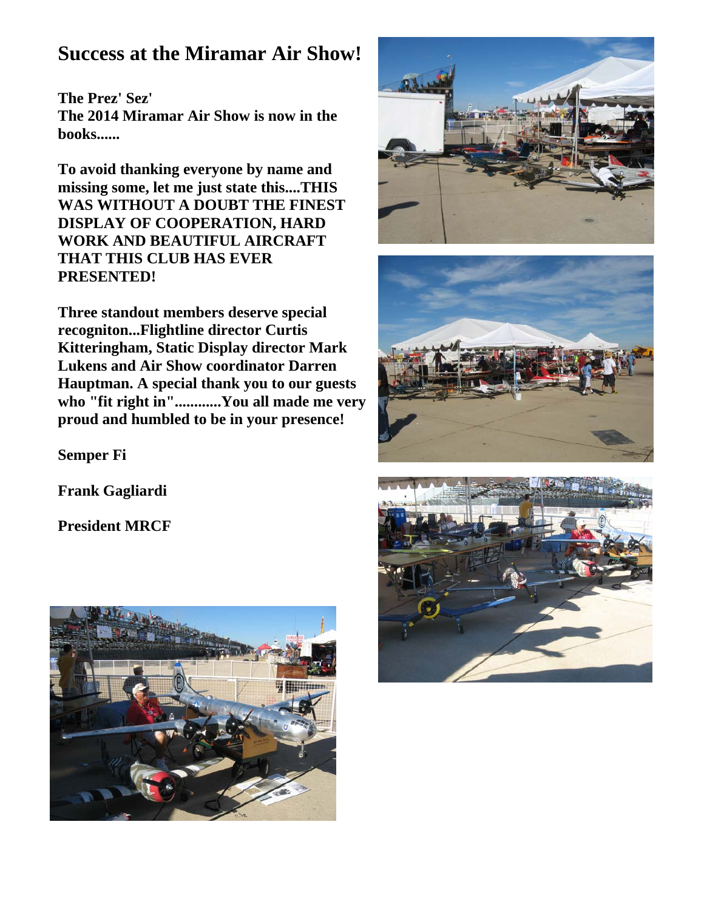# **Success at the Miramar Air Show!**

**The Prez' Sez' The 2014 Miramar Air Show is now in the books......**

**To avoid thanking everyone by name and missing some, let me just state this....THIS WAS WITHOUT A DOUBT THE FINEST DISPLAY OF COOPERATION, HARD WORK AND BEAUTIFUL AIRCRAFT THAT THIS CLUB HAS EVER PRESENTED!** 

**Three standout members deserve special recogniton...Flightline director Curtis Kitteringham, Static Display director Mark Lukens and Air Show coordinator Darren Hauptman. A special thank you to our guests who "fit right in"............You all made me very proud and humbled to be in your presence!**

**Semper Fi**

**Frank Gagliardi**

**President MRCF**







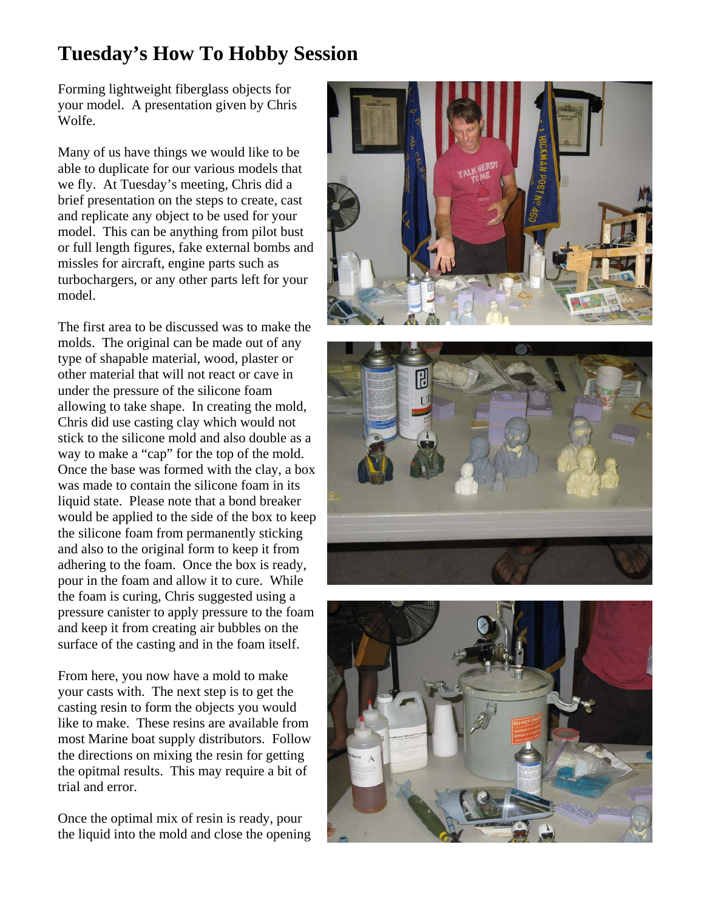# **Tuesday's How To Hobby Session**

Forming lightweight fiberglass objects for your model. A presentation given by Chris Wolfe.

Many of us have things we would like to be able to duplicate for our various models that we fly. At Tuesday's meeting, Chris did a brief presentation on the steps to create, cast and replicate any object to be used for your model. This can be anything from pilot bust or full length figures, fake external bombs and missles for aircraft, engine parts such as turbochargers, or any other parts left for your model.

The first area to be discussed was to make the molds. The original can be made out of any type of shapable material, wood, plaster or other material that will not react or cave in under the pressure of the silicone foam allowing to take shape. In creating the mold, Chris did use casting clay which would not stick to the silicone mold and also double as a way to make a "cap" for the top of the mold. Once the base was formed with the clay, a box was made to contain the silicone foam in its liquid state. Please note that a bond breaker would be applied to the side of the box to keep the silicone foam from permanently sticking and also to the original form to keep it from adhering to the foam. Once the box is ready, pour in the foam and allow it to cure. While the foam is curing, Chris suggested using a pressure canister to apply pressure to the foam and keep it from creating air bubbles on the surface of the casting and in the foam itself.

From here, you now have a mold to make your casts with. The next step is to get the casting resin to form the objects you would like to make. These resins are available from most Marine boat supply distributors. Follow the directions on mixing the resin for getting the opitmal results. This may require a bit of trial and error.

Once the optimal mix of resin is ready, pour the liquid into the mold and close the opening





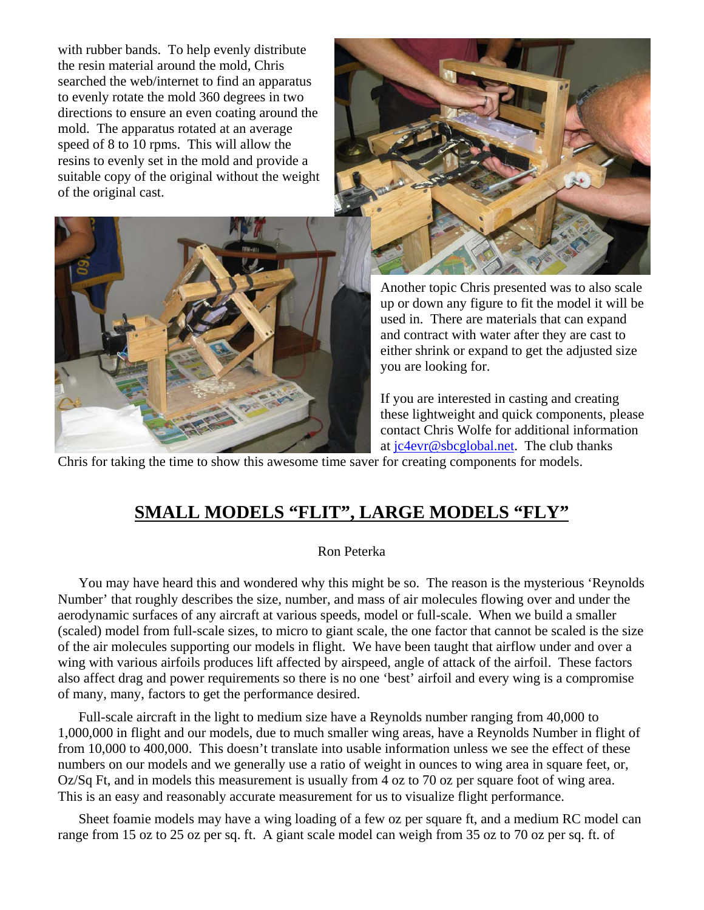with rubber bands. To help evenly distribute the resin material around the mold, Chris searched the web/internet to find an apparatus to evenly rotate the mold 360 degrees in two directions to ensure an even coating around the mold. The apparatus rotated at an average speed of 8 to 10 rpms. This will allow the resins to evenly set in the mold and provide a suitable copy of the original without the weight of the original cast.





Another topic Chris presented was to also scale up or down any figure to fit the model it will be used in. There are materials that can expand and contract with water after they are cast to either shrink or expand to get the adjusted size you are looking for.

If you are interested in casting and creating these lightweight and quick components, please contact Chris Wolfe for additional information at jc4evr@sbcglobal.net. The club thanks

Chris for taking the time to show this awesome time saver for creating components for models.

## **SMALL MODELS "FLIT", LARGE MODELS "FLY"**

#### Ron Peterka

You may have heard this and wondered why this might be so. The reason is the mysterious 'Reynolds Number' that roughly describes the size, number, and mass of air molecules flowing over and under the aerodynamic surfaces of any aircraft at various speeds, model or full-scale. When we build a smaller (scaled) model from full-scale sizes, to micro to giant scale, the one factor that cannot be scaled is the size of the air molecules supporting our models in flight. We have been taught that airflow under and over a wing with various airfoils produces lift affected by airspeed, angle of attack of the airfoil. These factors also affect drag and power requirements so there is no one 'best' airfoil and every wing is a compromise of many, many, factors to get the performance desired.

Full-scale aircraft in the light to medium size have a Reynolds number ranging from 40,000 to 1,000,000 in flight and our models, due to much smaller wing areas, have a Reynolds Number in flight of from 10,000 to 400,000. This doesn't translate into usable information unless we see the effect of these numbers on our models and we generally use a ratio of weight in ounces to wing area in square feet, or, Oz/Sq Ft, and in models this measurement is usually from 4 oz to 70 oz per square foot of wing area. This is an easy and reasonably accurate measurement for us to visualize flight performance.

Sheet foamie models may have a wing loading of a few oz per square ft, and a medium RC model can range from 15 oz to 25 oz per sq. ft. A giant scale model can weigh from 35 oz to 70 oz per sq. ft. of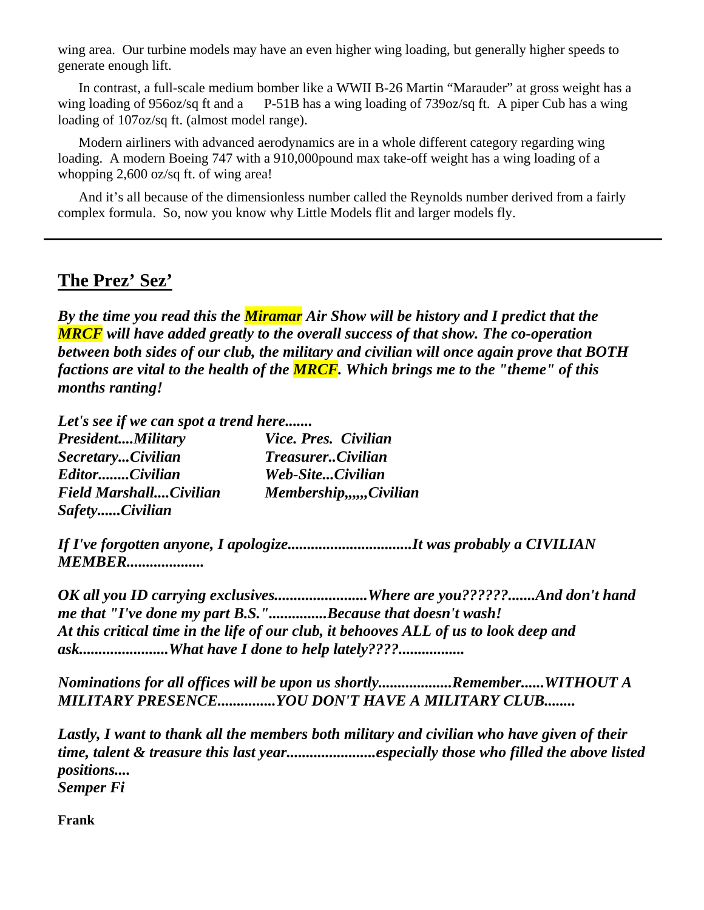wing area. Our turbine models may have an even higher wing loading, but generally higher speeds to generate enough lift.

In contrast, a full-scale medium bomber like a WWII B-26 Martin "Marauder" at gross weight has a wing loading of 956oz/sq ft and a P-51B has a wing loading of 739oz/sq ft. A piper Cub has a wing loading of 107oz/sq ft. (almost model range).

Modern airliners with advanced aerodynamics are in a whole different category regarding wing loading. A modern Boeing 747 with a 910,000 pound max take-off weight has a wing loading of a whopping 2,600 oz/sq ft. of wing area!

And it's all because of the dimensionless number called the Reynolds number derived from a fairly complex formula. So, now you know why Little Models flit and larger models fly.

#### **The Prez' Sez'**

*By the time you read this the Miramar Air Show will be history and I predict that the MRCF will have added greatly to the overall success of that show. The co-operation between both sides of our club, the military and civilian will once again prove that BOTH factions are vital to the health of the MRCF. Which brings me to the "theme" of this months ranting!*

*Let's see if we can spot a trend here.......*

| <b>PresidentMilitary</b> | Vice. Pres. Civilian     |
|--------------------------|--------------------------|
| SecretaryCivilian        | <b>TreasurerCivilian</b> |
| EditorCivilian           | Web-SiteCivilian         |
| Field MarshallCivilian   | Membership,,,,,,Civilian |
| SafetyCivilian           |                          |

*If I've forgotten anyone, I apologize................................It was probably a CIVILIAN MEMBER....................*

*OK all you ID carrying exclusives........................Where are you??????.......And don't hand me that "I've done my part B.S."...............Because that doesn't wash! At this critical time in the life of our club, it behooves ALL of us to look deep and ask.......................What have I done to help lately????.................*

*Nominations for all offices will be upon us shortly...................Remember......WITHOUT A MILITARY PRESENCE...............YOU DON'T HAVE A MILITARY CLUB........*

*Lastly, I want to thank all the members both military and civilian who have given of their time, talent & treasure this last year.......................especially those who filled the above listed positions.... Semper Fi*

**Frank**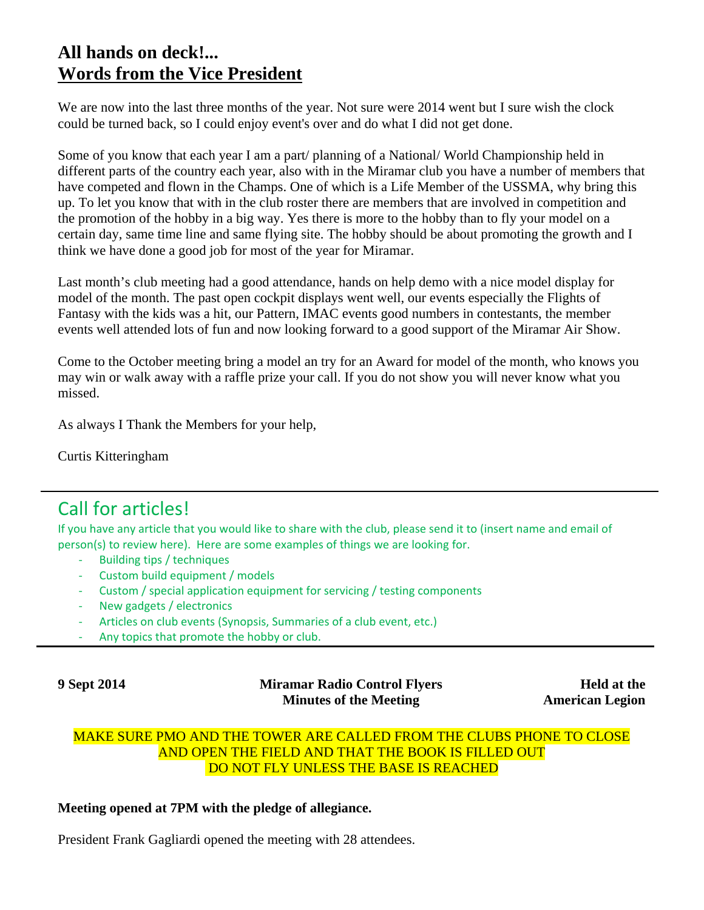## **All hands on deck!... Words from the Vice President**

We are now into the last three months of the year. Not sure were 2014 went but I sure wish the clock could be turned back, so I could enjoy event's over and do what I did not get done.

Some of you know that each year I am a part/ planning of a National/ World Championship held in different parts of the country each year, also with in the Miramar club you have a number of members that have competed and flown in the Champs. One of which is a Life Member of the USSMA, why bring this up. To let you know that with in the club roster there are members that are involved in competition and the promotion of the hobby in a big way. Yes there is more to the hobby than to fly your model on a certain day, same time line and same flying site. The hobby should be about promoting the growth and I think we have done a good job for most of the year for Miramar.

Last month's club meeting had a good attendance, hands on help demo with a nice model display for model of the month. The past open cockpit displays went well, our events especially the Flights of Fantasy with the kids was a hit, our Pattern, IMAC events good numbers in contestants, the member events well attended lots of fun and now looking forward to a good support of the Miramar Air Show.

Come to the October meeting bring a model an try for an Award for model of the month, who knows you may win or walk away with a raffle prize your call. If you do not show you will never know what you missed.

As always I Thank the Members for your help,

Curtis Kitteringham

# Call for articles!

If you have any article that you would like to share with the club, please send it to (insert name and email of person(s) to review here). Here are some examples of things we are looking for.

- ‐ Building tips / techniques
- ‐ Custom build equipment / models
- ‐ Custom / special application equipment for servicing / testing components
- ‐ New gadgets / electronics
- ‐ Articles on club events (Synopsis, Summaries of a club event, etc.)
- Any topics that promote the hobby or club.

**9 Sept 2014 Miramar Radio Control Flyers Minutes of the Meeting** 

**Held at the American Legion**

#### MAKE SURE PMO AND THE TOWER ARE CALLED FROM THE CLUBS PHONE TO CLOSE AND OPEN THE FIELD AND THAT THE BOOK IS FILLED OUT DO NOT FLY UNLESS THE BASE IS REACHED

#### **Meeting opened at 7PM with the pledge of allegiance.**

President Frank Gagliardi opened the meeting with 28 attendees.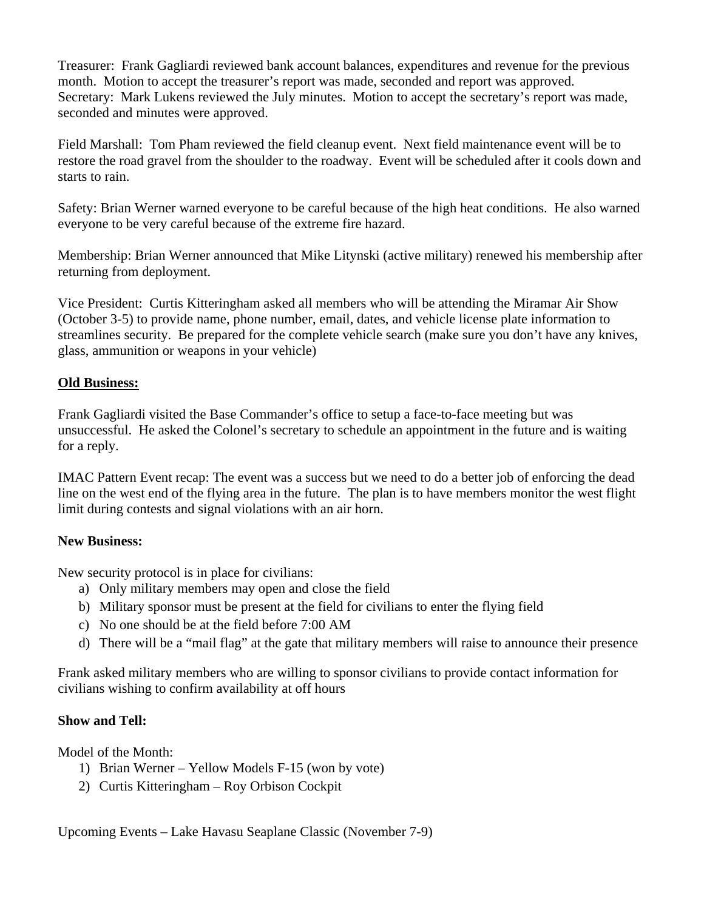Treasurer: Frank Gagliardi reviewed bank account balances, expenditures and revenue for the previous month. Motion to accept the treasurer's report was made, seconded and report was approved. Secretary: Mark Lukens reviewed the July minutes. Motion to accept the secretary's report was made, seconded and minutes were approved.

Field Marshall: Tom Pham reviewed the field cleanup event. Next field maintenance event will be to restore the road gravel from the shoulder to the roadway. Event will be scheduled after it cools down and starts to rain.

Safety: Brian Werner warned everyone to be careful because of the high heat conditions. He also warned everyone to be very careful because of the extreme fire hazard.

Membership: Brian Werner announced that Mike Litynski (active military) renewed his membership after returning from deployment.

Vice President: Curtis Kitteringham asked all members who will be attending the Miramar Air Show (October 3-5) to provide name, phone number, email, dates, and vehicle license plate information to streamlines security. Be prepared for the complete vehicle search (make sure you don't have any knives, glass, ammunition or weapons in your vehicle)

#### **Old Business:**

Frank Gagliardi visited the Base Commander's office to setup a face-to-face meeting but was unsuccessful. He asked the Colonel's secretary to schedule an appointment in the future and is waiting for a reply.

IMAC Pattern Event recap: The event was a success but we need to do a better job of enforcing the dead line on the west end of the flying area in the future. The plan is to have members monitor the west flight limit during contests and signal violations with an air horn.

#### **New Business:**

New security protocol is in place for civilians:

- a) Only military members may open and close the field
- b) Military sponsor must be present at the field for civilians to enter the flying field
- c) No one should be at the field before 7:00 AM
- d) There will be a "mail flag" at the gate that military members will raise to announce their presence

Frank asked military members who are willing to sponsor civilians to provide contact information for civilians wishing to confirm availability at off hours

#### **Show and Tell:**

Model of the Month:

- 1) Brian Werner Yellow Models F-15 (won by vote)
- 2) Curtis Kitteringham Roy Orbison Cockpit

Upcoming Events – Lake Havasu Seaplane Classic (November 7-9)